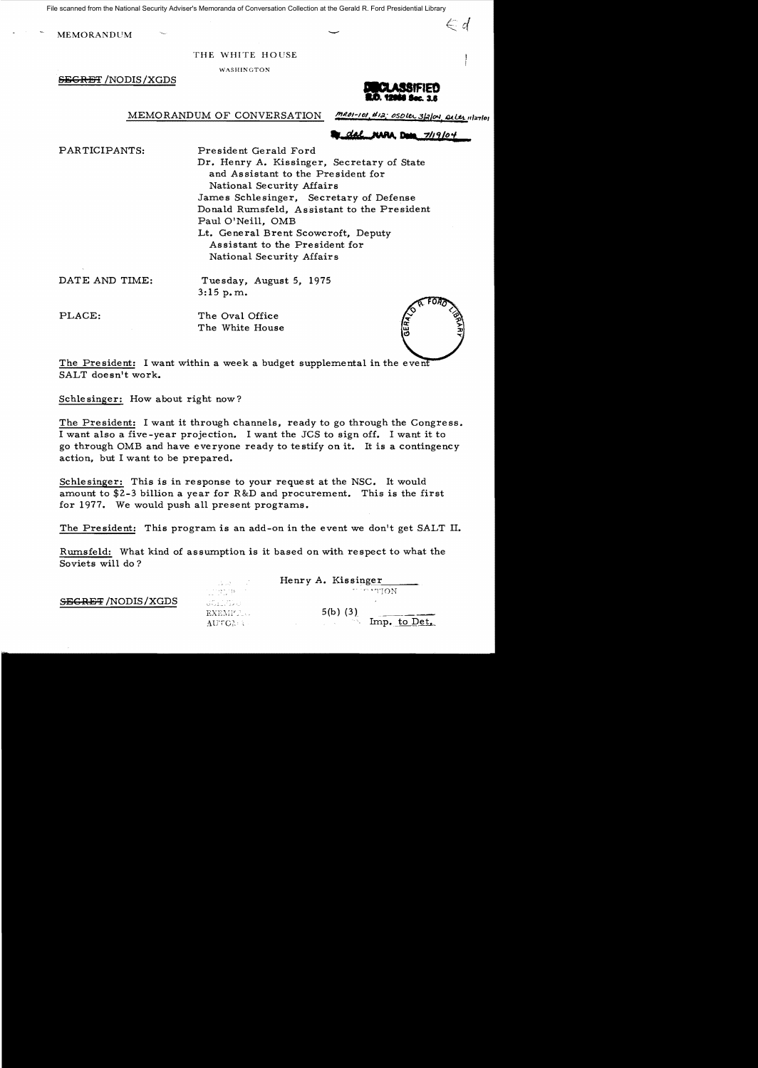File scanned from the National Security Adviser's Memoranda of Conversation Collection at the Gerald R. Ford Presidential Library

MEMORANDUM – SAN SERVICE SERVICE SUPERIOR AND SUPERIOR OF SAN SERVICE SUPERIOR OF SAN SUPERIOR OF SAN SUPERIOR OF SAN SUPERIOR OF SAN SUPERIOR OF SAN SUPERIOR OF SAN SUPERIOR OF SAN SUPERIOR OF SAN SUPERIOR OF SAN SUPERIOR

THE WHITE HOUSE

WASHINGTON

SEGRET /NODIS/XGDS



 $\epsilon$  d

MEMORANDUM OF CONVERSATION

 $MRO1-101, H12$ ; OSDLER 3/2/04, arles 1127/01

dal **NARA** Data 7/19/04

PARTICIPANTS:

President Gerald Ford Dr. Henry A. Kissinger, Secretary of State and Assistant to the President for National Security Affairs James Schlesinger, Secretary of Defense Donald Rumsfeld, Assistant to the President Paul O'Neill, OMB Lt. General Brent Scowcroft, Deputy Assistant to the President for National Security Affairs

DATE AND TIME:

Tuesday, August 5, 1975 3: 15 p. m.

PLACE:

The Oval Office The White House



The President: I want within a week a budget supplemental in the event SALT doesn't work.

Schlesinger: How about right now?

The President: I want it through channels, ready to go through the Congress. I want also a five-year projection. I want the JCS to sign off. I want it to go through OMB and have everyone ready to testify on it. It is a contingency action, but I want to be prepared.

Schlesinger: This is in response to your request at the NSC. It would amount to \$2-3 billion a year for R&D and procurement. This is the first for 1977. We would push all present programs.

The President: This program is an add-on in the event we don't get SALT II.

Rumsfeld: What kind of assumption is it based on with respect to what the Soviets will do?

|                          | in Sultan                      | Henry A. Kissinger    |
|--------------------------|--------------------------------|-----------------------|
|                          | 计可分操作 计数字符                     | <b>MOUP</b> STON      |
| <b>SEGRET/NODIS/XGDS</b> | Antico (1994)<br>Antico (1994) |                       |
|                          | EXEMP. U                       | $5(b)$ (3)            |
|                          | AUTON 3                        | Imp. to Det.<br>n nji |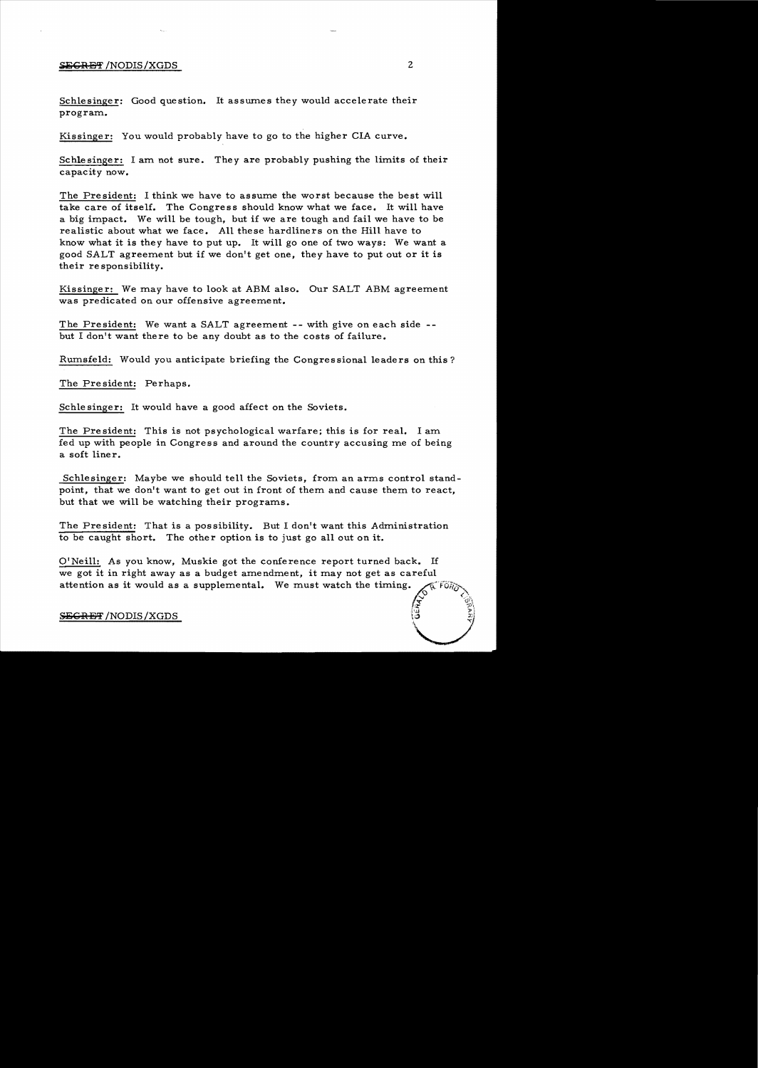## SilGJiU3~' /NODIS/XGDS 2

Schlesinger: Good question. It assumes they would accelerate their program..

Kissinger: You would probably have to go to the higher CIA curve.

Schlesinger: I am not sure. They are probably pushing the limits of their capacity now.

The President: I think we have to assume the worst because the best will take care of itself. The Congress should know what we face. It will have a big impact. We will be tough, but if we are tough and fail we have to be realistic about what we face. All these hardliners on the Hill have to know what it is they have to put up. It will go one of two ways: We want a good SALT agreement but if we don't get one, they have to put out or it is their re sponsibility.

Kissinger: We may have to look at ABM also. Our SALT ABM agreement was predicated on our offensive agreement.

The President: We want a SALT agreement -- with give on each side -but I don't want there to be any doubt as to the costs of failure.

Rumsfeld: Would you anticipate briefing the Congressional leaders on this?

The Pre sident: Perhaps.

Schle singer: It would have a good affect on the Soviets.

The President: This is not psychological warfare; this is for real. I am. fed up with people in Congress and around the country accusing me of being a soft liner.

Schlesinger: Maybe we should tell the Soviets, from an arms control standpoint, that we don't want to get out in front of them and cause them to react, but that we will be watching their programs.

The President: That is a possibility. But I don't want this Administration to be caught short. The other option is to just go all out on it.

O'Neill: As you know, Muskie got the conference report turned back. If we got it in right away as a budget amendment, it may not get as careful attention as it would as a supplemental. We must watch the timing.  $\delta$  in , and  $\delta$ 

## SECRET/NODIS/XGDS

 $\widetilde{\widetilde{z}}$  :  $\widetilde{\mathbb{G}}$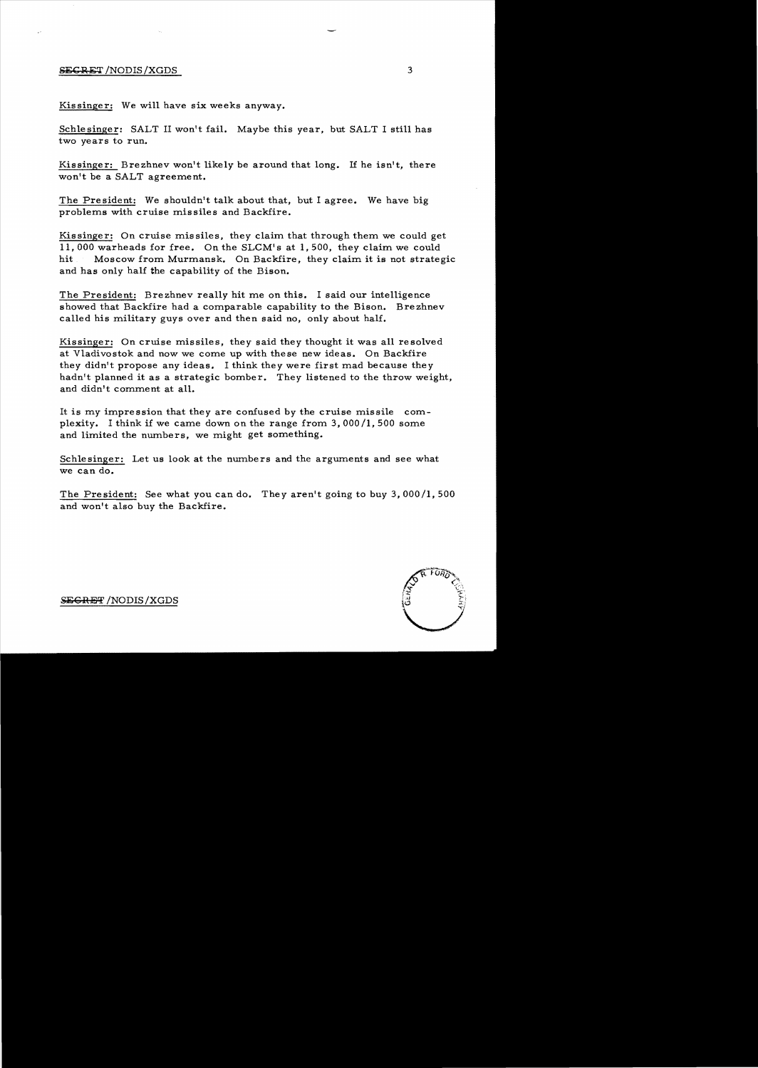## SECRET /NODIS/XGDS 3

Kissinger: We will have six weeks anyway.

Schlesinger: SALT II won't fail. Maybe this year, but SALT I still has two years to run.

Kissinger: Brezhnev won't likely be around that long. If he isn't, there won't be a SALT agreement.

The President: We shouldn't talk about that, but I agree. We have big problems with cruise missiles and Backfire.

Kissinger: On cruise missiles, they claim that through them we could get 11,000 warheads for free. On the SLCM's at **1,500,** they claim we could hit Moscow from Murmansk. On Backfire, they claim it is not strategic and has only half the capability of the Bison.

The President: Brezhnev really hit me on this. I said our intelligence showed that Backfire had a comparable capability to the Bison. Brezhnev called his military guys over and then said no, only about half.

Kissinger: On cruise missiles, they said they thought it was all resolved at Vladivostok and now we come up with these new ideas. On Backfire they didn't propose any ideas. I think they were first mad because they hadn't planned it as a strategic bomber. They listened to the throw weight, and didn't comment at all.

It is my impression that they are confused by the cruise missile complexity. I think if we came down on the range from 3,000/1,500 some and limited the numbers, we might get something.

Schlesinger: Let us look at the numbers and the arguments and see what we can do.

The President: See what you can do. They aren't going to buy 3,000/1,500 and won't also buy the Backfire.

S<del>EGRET</del> /NODIS/XGDS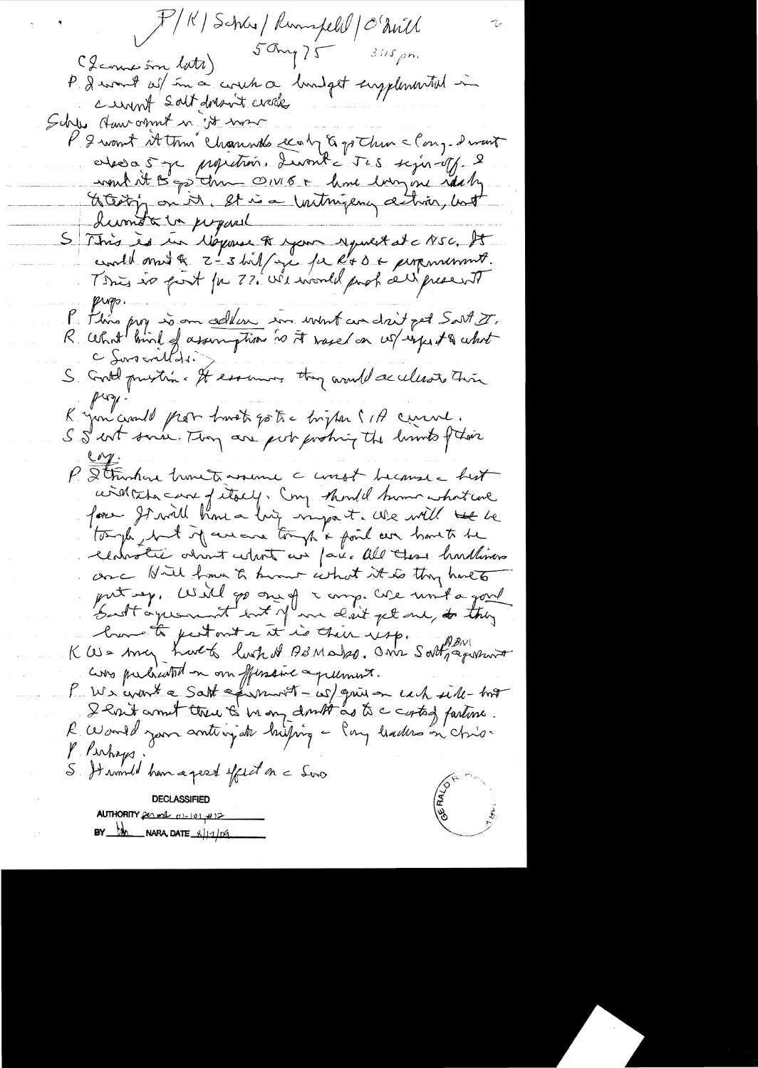X/K | Schar | Rumspell | O'Avill  $50mg75$  3:15pm (Icome in lata) P. Devont ces son a cercet a londget supplemental in cumt salt dors it crock Schles Haw ormit in it was P 2 want Attim Channels con 5 pt du clong-dront elesa 5 je propetrion, Luant Tes sejon of 2 mont sit B po time ON16+ home largement starting Lumota in proposal S This is in Moyense of your reputat at c NSC. It P. Filing prog som celles son wint con drit pet Sart I.<br>R. What bird of assumption to it rased on we system to what S Godt prestin e It essemes they would accelerate this puz. K you crould prob troop go tre bigton (1) curve.<br>S S cost some Toon are post probing the lumbs ftoor P. Strinhore homets assume a worst because a best civillata care of itself. Cong should human what we tough that if are are tought foul are harts be centratie about what we face all these hurtlives once Nill from the home what it is they have to put my, Will go one of a comp. We unit a good Cas my havet last of AsMalso. One Sattgamment avo pulsation on fusion apumis.<br>P We wont a Satt a promot - we give on each side - too R World your anticipate histoire - Empleaders on chio-P. Perhaps. S. Hammeld han a pearl effect on a Seno **CORRECTED DECLASSIFIED** AUTHORITY per met 01-101 +12  $BY$  M NARA, DATE  $\frac{2}{11}$  of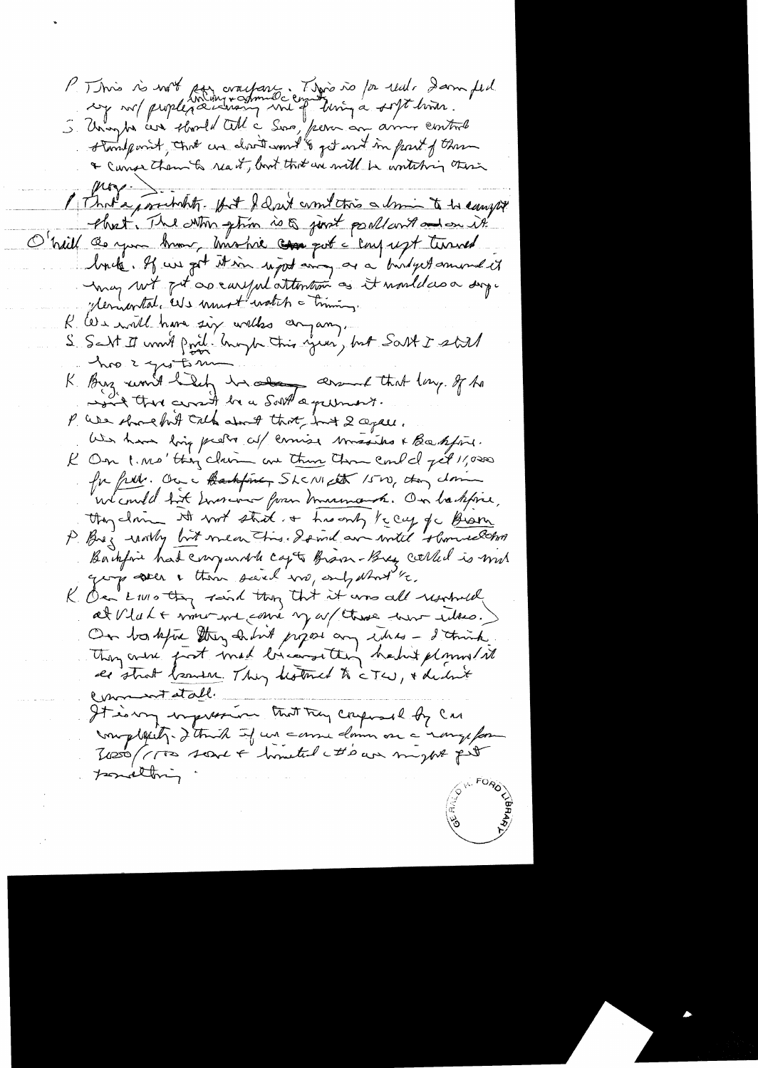P. This is with ser cractare. This is for real dam feel & Curso them to read, but that we will be writching there Mg. I That a poseholity. If I don't comment this a limin to be caught that The Mon phin is & just poullant and on it O'haill de you know, mome can pot a conjugt turned brite. If we get it in rejoit and as a builget smort it "lemontal, Us must watch a timing. R We will have six without cinquing. S. Salt It worth point. Group this year', but Salt I still hope you ton K. Buz won't help in about that lay of the won't there are it be a South a germant. P. We shouldn't call about that int 2 again. We have long pretty all comise missiles & Baskford. R On 1. Ms'tting claim are there there could get 11,000 for free. On a thankfining Shaw cath 1500, aton down we could but Inversion from marmont. On hastifice, they claim it with stad a his only te cay of the Biam Backford had compared capts Brown-Bry colled is mit ging seen a them said wa, only what the K On LIVIO they said they that it was all resolved On bostopic they sadint pigos any thes - I think de strat beautic. They distinct to cTw, + declinit Commentatable It is my impression that try composed by car morphetet. I think if we came down on a range for 7000 (1700 scent & hometed to an myself pit ponalting.